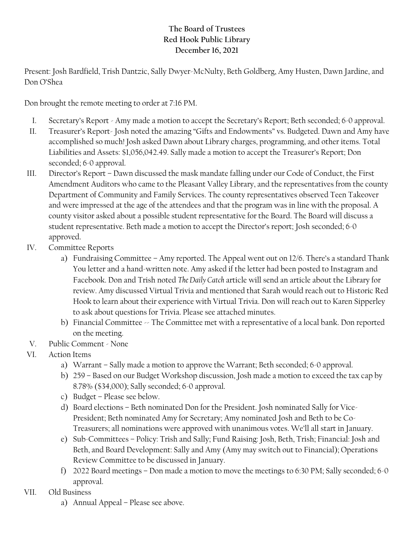## **The Board of Trustees Red Hook Public Library December 16, 2021**

Present: Josh Bardfield, Trish Dantzic, Sally Dwyer-McNulty, Beth Goldberg, Amy Husten, Dawn Jardine, and Don O'Shea

Don brought the remote meeting to order at 7:16 PM.

- I. Secretary's Report Amy made a motion to accept the Secretary's Report; Beth seconded; 6-0 approval.
- II. Treasurer's Report- Josh noted the amazing "Gifts and Endowments" vs. Budgeted. Dawn and Amy have accomplished so much! Josh asked Dawn about Library charges, programming, and other items. Total Liabilities and Assets: \$1,056,042.49. Sally made a motion to accept the Treasurer's Report; Don seconded; 6-0 approval.
- III. Director's Report Dawn discussed the mask mandate falling under our Code of Conduct, the First Amendment Auditors who came to the Pleasant Valley Library, and the representatives from the county Department of Community and Family Services. The county representatives observed Teen Takeover and were impressed at the age of the attendees and that the program was in line with the proposal. A county visitor asked about a possible student representative for the Board. The Board will discuss a student representative. Beth made a motion to accept the Director's report; Josh seconded; 6-0 approved.
- IV. Committee Reports
	- a) Fundraising Committee Amy reported. The Appeal went out on 12/6. There's a standard Thank You letter and a hand-written note. Amy asked if the letter had been posted to Instagram and Facebook. Don and Trish noted *The Daily Catch* article will send an article about the Library for review. Amy discussed Virtual Trivia and mentioned that Sarah would reach out to Historic Red Hook to learn about their experience with Virtual Trivia. Don will reach out to Karen Sipperley to ask about questions for Trivia. Please see attached minutes.
	- b) Financial Committee –- The Committee met with a representative of a local bank. Don reported on the meeting.
- V. Public Comment None
- VI. Action Items
	- a) Warrant Sally made a motion to approve the Warrant; Beth seconded; 6-0 approval.
	- b) 259 Based on our Budget Workshop discussion, Josh made a motion to exceed the tax cap by 8.78% (\$34,000); Sally seconded; 6-0 approval.
	- c) Budget Please see below.
	- d) Board elections Beth nominated Don for the President. Josh nominated Sally for Vice-President; Beth nominated Amy for Secretary; Amy nominated Josh and Beth to be Co-Treasurers; all nominations were approved with unanimous votes. We'll all start in January.
	- e) Sub-Committees Policy: Trish and Sally; Fund Raising: Josh, Beth, Trish; Financial: Josh and Beth, and Board Development: Sally and Amy (Amy may switch out to Financial); Operations Review Committee to be discussed in January.
	- f) 2022 Board meetings Don made a motion to move the meetings to 6:30 PM; Sally seconded; 6-0 approval.
- VII. Old Business
	- a) Annual Appeal Please see above.